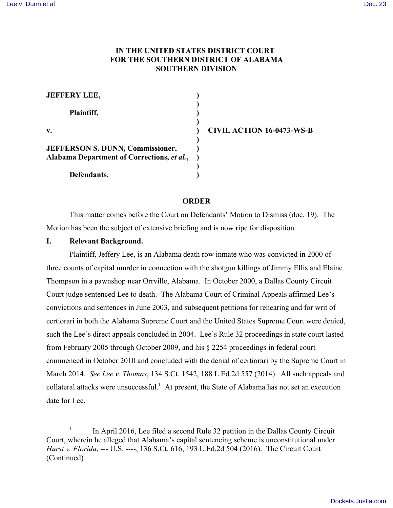## **IN THE UNITED STATES DISTRICT COURT FOR THE SOUTHERN DISTRICT OF ALABAMA SOUTHERN DIVISION**

| <b>JEFFERY LEE,</b>                                                                   |                                  |
|---------------------------------------------------------------------------------------|----------------------------------|
| Plaintiff,                                                                            |                                  |
| $\mathbf{v}$ .                                                                        | <b>CIVIL ACTION 16-0473-WS-B</b> |
| <b>JEFFERSON S. DUNN, Commissioner,</b><br>Alabama Department of Corrections, et al., |                                  |
| Defendants.                                                                           |                                  |

### **ORDER**

This matter comes before the Court on Defendants' Motion to Dismiss (doc. 19). The Motion has been the subject of extensive briefing and is now ripe for disposition.

#### **I. Relevant Background.**

Plaintiff, Jeffery Lee, is an Alabama death row inmate who was convicted in 2000 of three counts of capital murder in connection with the shotgun killings of Jimmy Ellis and Elaine Thompson in a pawnshop near Orrville, Alabama. In October 2000, a Dallas County Circuit Court judge sentenced Lee to death. The Alabama Court of Criminal Appeals affirmed Lee's convictions and sentences in June 2003, and subsequent petitions for rehearing and for writ of certiorari in both the Alabama Supreme Court and the United States Supreme Court were denied, such the Lee's direct appeals concluded in 2004. Lee's Rule 32 proceedings in state court lasted from February 2005 through October 2009, and his § 2254 proceedings in federal court commenced in October 2010 and concluded with the denial of certiorari by the Supreme Court in March 2014. *See Lee v. Thomas*, 134 S.Ct. 1542, 188 L.Ed.2d 557 (2014). All such appeals and collateral attacks were unsuccessful. $<sup>1</sup>$  At present, the State of Alabama has not set an execution</sup> date for Lee.

<sup>&</sup>lt;sup>1</sup> In April 2016, Lee filed a second Rule 32 petition in the Dallas County Circuit Court, wherein he alleged that Alabama's capital sentencing scheme is unconstitutional under *Hurst v. Florida*, --- U.S. ----, 136 S.Ct. 616, 193 L.Ed.2d 504 (2016). The Circuit Court (Continued)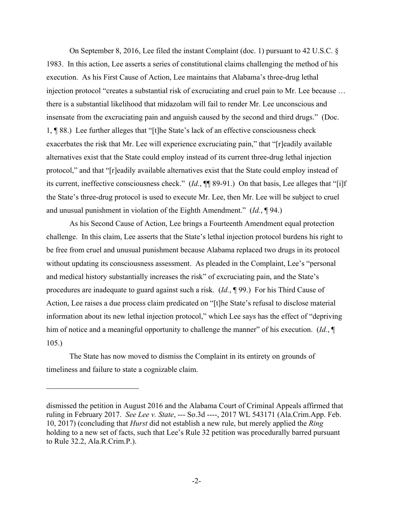On September 8, 2016, Lee filed the instant Complaint (doc. 1) pursuant to 42 U.S.C. § 1983. In this action, Lee asserts a series of constitutional claims challenging the method of his execution. As his First Cause of Action, Lee maintains that Alabama's three-drug lethal injection protocol "creates a substantial risk of excruciating and cruel pain to Mr. Lee because … there is a substantial likelihood that midazolam will fail to render Mr. Lee unconscious and insensate from the excruciating pain and anguish caused by the second and third drugs." (Doc. 1, ¶ 88.) Lee further alleges that "[t]he State's lack of an effective consciousness check exacerbates the risk that Mr. Lee will experience excruciating pain," that "[r]eadily available alternatives exist that the State could employ instead of its current three-drug lethal injection protocol," and that "[r]eadily available alternatives exist that the State could employ instead of its current, ineffective consciousness check." (*Id.*, ¶¶ 89-91.) On that basis, Lee alleges that "[i]f the State's three-drug protocol is used to execute Mr. Lee, then Mr. Lee will be subject to cruel and unusual punishment in violation of the Eighth Amendment." (*Id.*, ¶ 94.)

As his Second Cause of Action, Lee brings a Fourteenth Amendment equal protection challenge. In this claim, Lee asserts that the State's lethal injection protocol burdens his right to be free from cruel and unusual punishment because Alabama replaced two drugs in its protocol without updating its consciousness assessment. As pleaded in the Complaint, Lee's "personal and medical history substantially increases the risk" of excruciating pain, and the State's procedures are inadequate to guard against such a risk. (*Id.*, ¶ 99.) For his Third Cause of Action, Lee raises a due process claim predicated on "[t]he State's refusal to disclose material information about its new lethal injection protocol," which Lee says has the effect of "depriving him of notice and a meaningful opportunity to challenge the manner" of his execution. (*Id.*, ¶ 105.)

The State has now moved to dismiss the Complaint in its entirety on grounds of timeliness and failure to state a cognizable claim.

1

dismissed the petition in August 2016 and the Alabama Court of Criminal Appeals affirmed that ruling in February 2017. *See Lee v. State*, --- So.3d ----, 2017 WL 543171 (Ala.Crim.App. Feb. 10, 2017) (concluding that *Hurst* did not establish a new rule, but merely applied the *Ring* holding to a new set of facts, such that Lee's Rule 32 petition was procedurally barred pursuant to Rule 32.2, Ala.R.Crim.P.).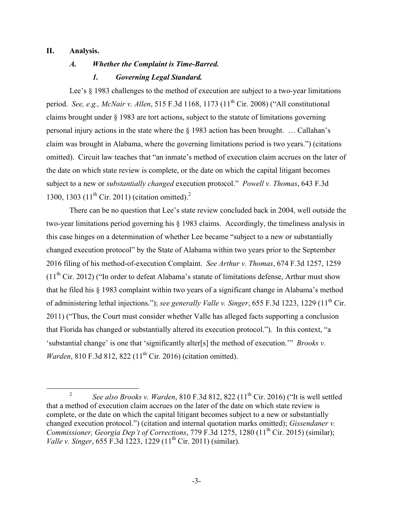### **II. Analysis.**

### *A. Whether the Complaint is Time-Barred.*

### *1. Governing Legal Standard.*

Lee's  $\S$  1983 challenges to the method of execution are subject to a two-year limitations period. *See, e.g., McNair v. Allen*, 515 F.3d 1168, 1173 (11th Cir. 2008) ("All constitutional claims brought under § 1983 are tort actions, subject to the statute of limitations governing personal injury actions in the state where the § 1983 action has been brought. … Callahan's claim was brought in Alabama, where the governing limitations period is two years.") (citations omitted). Circuit law teaches that "an inmate's method of execution claim accrues on the later of the date on which state review is complete, or the date on which the capital litigant becomes subject to a new or *substantially changed* execution protocol." *Powell v. Thomas*, 643 F.3d 1300, 1303 (11<sup>th</sup> Cir. 2011) (citation omitted).<sup>2</sup>

There can be no question that Lee's state review concluded back in 2004, well outside the two-year limitations period governing his § 1983 claims. Accordingly, the timeliness analysis in this case hinges on a determination of whether Lee became "subject to a new or substantially changed execution protocol" by the State of Alabama within two years prior to the September 2016 filing of his method-of-execution Complaint. *See Arthur v. Thomas*, 674 F.3d 1257, 1259  $(11<sup>th</sup> Cir. 2012)$  ("In order to defeat Alabama's statute of limitations defense, Arthur must show that he filed his § 1983 complaint within two years of a significant change in Alabama's method of administering lethal injections."); *see generally Valle v. Singer*, 655 F.3d 1223, 1229 (11<sup>th</sup> Cir. 2011) ("Thus, the Court must consider whether Valle has alleged facts supporting a conclusion that Florida has changed or substantially altered its execution protocol."). In this context, "a 'substantial change' is one that 'significantly alter[s] the method of execution.'" *Brooks v. Warden*, 810 F.3d 812, 822 (11<sup>th</sup> Cir. 2016) (citation omitted).

<sup>&</sup>lt;sup>2</sup> *See also Brooks v. Warden*,  $810$  F.3d  $812$ ,  $822$  ( $11<sup>th</sup>$  Cir. 2016) ("It is well settled that a method of execution claim accrues on the later of the date on which state review is complete, or the date on which the capital litigant becomes subject to a new or substantially changed execution protocol.") (citation and internal quotation marks omitted); *Gissendaner v. Commissioner, Georgia Dep't of Corrections, 779 F.3d 1275, 1280 (11<sup>th</sup> Cir. 2015) (similar); Valle v. Singer*, 655 F.3d 1223, 1229 (11<sup>th</sup> Cir. 2011) (similar).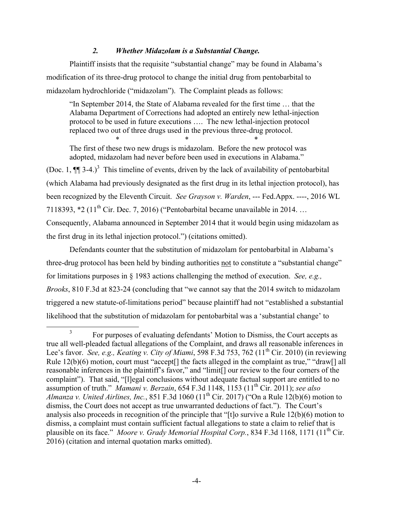## *2. Whether Midazolam is a Substantial Change.*

Plaintiff insists that the requisite "substantial change" may be found in Alabama's modification of its three-drug protocol to change the initial drug from pentobarbital to midazolam hydrochloride ("midazolam"). The Complaint pleads as follows:

"In September 2014, the State of Alabama revealed for the first time … that the Alabama Department of Corrections had adopted an entirely new lethal-injection protocol to be used in future executions …. The new lethal-injection protocol replaced two out of three drugs used in the previous three-drug protocol.

 $*$  \*  $*$  \*  $*$ The first of these two new drugs is midazolam. Before the new protocol was adopted, midazolam had never before been used in executions in Alabama."

(Doc. 1,  $\P$ ] 3-4.)<sup>3</sup> This timeline of events, driven by the lack of availability of pentobarbital (which Alabama had previously designated as the first drug in its lethal injection protocol), has been recognized by the Eleventh Circuit. *See Grayson v. Warden*, --- Fed.Appx. ----, 2016 WL 7118393,  $*2$  (11<sup>th</sup> Cir. Dec. 7, 2016) ("Pentobarbital became unavailable in 2014. ... Consequently, Alabama announced in September 2014 that it would begin using midazolam as the first drug in its lethal injection protocol.") (citations omitted).

Defendants counter that the substitution of midazolam for pentobarbital in Alabama's three-drug protocol has been held by binding authorities not to constitute a "substantial change" for limitations purposes in § 1983 actions challenging the method of execution. *See, e.g., Brooks*, 810 F.3d at 823-24 (concluding that "we cannot say that the 2014 switch to midazolam triggered a new statute-of-limitations period" because plaintiff had not "established a substantial likelihood that the substitution of midazolam for pentobarbital was a 'substantial change' to

<sup>&</sup>lt;sup>3</sup> For purposes of evaluating defendants' Motion to Dismiss, the Court accepts as true all well-pleaded factual allegations of the Complaint, and draws all reasonable inferences in Lee's favor. *See, e.g., Keating v. City of Miami*, 598 F.3d 753, 762 (11<sup>th</sup> Cir. 2010) (in reviewing Rule  $12(b)(6)$  motion, court must "accept<sup>[]</sup> the facts alleged in the complaint as true," "draw<sup>[]</sup> all reasonable inferences in the plaintiff's favor," and "limit[] our review to the four corners of the complaint"). That said, "[l]egal conclusions without adequate factual support are entitled to no assumption of truth." *Mamani v. Berzain*, 654 F.3d 1148, 1153 (11th Cir. 2011); *see also Almanza v. United Airlines, Inc.*, 851 F.3d 1060 (11<sup>th</sup> Cir. 2017) ("On a Rule 12(b)(6) motion to dismiss, the Court does not accept as true unwarranted deductions of fact."). The Court's analysis also proceeds in recognition of the principle that "[t]o survive a Rule 12(b)(6) motion to dismiss, a complaint must contain sufficient factual allegations to state a claim to relief that is plausible on its face." *Moore v. Grady Memorial Hospital Corp.*, 834 F.3d 1168, 1171 (11<sup>th</sup> Cir. 2016) (citation and internal quotation marks omitted).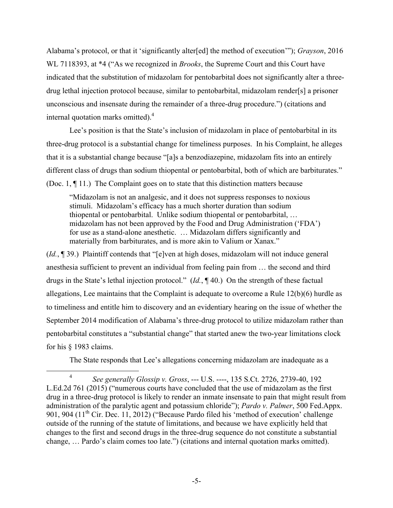Alabama's protocol, or that it 'significantly alter[ed] the method of execution'"); *Grayson*, 2016 WL 7118393, at \*4 ("As we recognized in *Brooks*, the Supreme Court and this Court have indicated that the substitution of midazolam for pentobarbital does not significantly alter a threedrug lethal injection protocol because, similar to pentobarbital, midazolam render[s] a prisoner unconscious and insensate during the remainder of a three-drug procedure.") (citations and internal quotation marks omitted). 4

Lee's position is that the State's inclusion of midazolam in place of pentobarbital in its three-drug protocol is a substantial change for timeliness purposes. In his Complaint, he alleges that it is a substantial change because "[a]s a benzodiazepine, midazolam fits into an entirely different class of drugs than sodium thiopental or pentobarbital, both of which are barbiturates." (Doc. 1, ¶ 11.) The Complaint goes on to state that this distinction matters because

"Midazolam is not an analgesic, and it does not suppress responses to noxious stimuli. Midazolam's efficacy has a much shorter duration than sodium thiopental or pentobarbital. Unlike sodium thiopental or pentobarbital, … midazolam has not been approved by the Food and Drug Administration ('FDA') for use as a stand-alone anesthetic. … Midazolam differs significantly and materially from barbiturates, and is more akin to Valium or Xanax."

(*Id.*, ¶ 39.) Plaintiff contends that "[e]ven at high doses, midazolam will not induce general anesthesia sufficient to prevent an individual from feeling pain from … the second and third drugs in the State's lethal injection protocol." (*Id.*, ¶ 40.) On the strength of these factual allegations, Lee maintains that the Complaint is adequate to overcome a Rule  $12(b)(6)$  hurdle as to timeliness and entitle him to discovery and an evidentiary hearing on the issue of whether the September 2014 modification of Alabama's three-drug protocol to utilize midazolam rather than pentobarbital constitutes a "substantial change" that started anew the two-year limitations clock for his § 1983 claims.

The State responds that Lee's allegations concerning midazolam are inadequate as a

 <sup>4</sup> *See generally Glossip v. Gross*, --- U.S. ----, 135 S.Ct. 2726, 2739-40, 192 L.Ed.2d 761 (2015) ("numerous courts have concluded that the use of midazolam as the first drug in a three-drug protocol is likely to render an inmate insensate to pain that might result from administration of the paralytic agent and potassium chloride"); *Pardo v. Palmer*, 500 Fed.Appx. 901, 904  $(11<sup>th</sup>$  Cir. Dec. 11, 2012) ("Because Pardo filed his 'method of execution' challenge outside of the running of the statute of limitations, and because we have explicitly held that changes to the first and second drugs in the three-drug sequence do not constitute a substantial change, … Pardo's claim comes too late.") (citations and internal quotation marks omitted).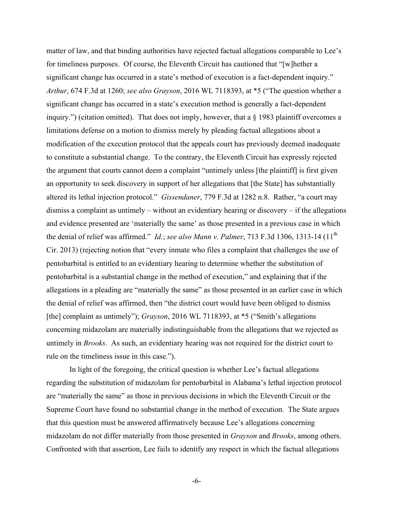matter of law, and that binding authorities have rejected factual allegations comparable to Lee's for timeliness purposes. Of course, the Eleventh Circuit has cautioned that "[w]hether a significant change has occurred in a state's method of execution is a fact-dependent inquiry." *Arthur*, 674 F.3d at 1260; *see also Grayson*, 2016 WL 7118393, at \*5 ("The question whether a significant change has occurred in a state's execution method is generally a fact-dependent inquiry.") (citation omitted). That does not imply, however, that a § 1983 plaintiff overcomes a limitations defense on a motion to dismiss merely by pleading factual allegations about a modification of the execution protocol that the appeals court has previously deemed inadequate to constitute a substantial change. To the contrary, the Eleventh Circuit has expressly rejected the argument that courts cannot deem a complaint "untimely unless [the plaintiff] is first given an opportunity to seek discovery in support of her allegations that [the State] has substantially altered its lethal injection protocol." *Gissendaner*, 779 F.3d at 1282 n.8. Rather, "a court may dismiss a complaint as untimely – without an evidentiary hearing or discovery – if the allegations and evidence presented are 'materially the same' as those presented in a previous case in which the denial of relief was affirmed." *Id.*; *see also Mann v. Palmer*, 713 F.3d 1306, 1313-14 (11<sup>th</sup>) Cir. 2013) (rejecting notion that "every inmate who files a complaint that challenges the use of pentobarbital is entitled to an evidentiary hearing to determine whether the substitution of pentobarbital is a substantial change in the method of execution," and explaining that if the allegations in a pleading are "materially the same" as those presented in an earlier case in which the denial of relief was affirmed, then "the district court would have been obliged to dismiss [the] complaint as untimely"); *Grayson*, 2016 WL 7118393, at \*5 ("Smith's allegations" concerning midazolam are materially indistinguishable from the allegations that we rejected as untimely in *Brooks*. As such, an evidentiary hearing was not required for the district court to rule on the timeliness issue in this case.").

In light of the foregoing, the critical question is whether Lee's factual allegations regarding the substitution of midazolam for pentobarbital in Alabama's lethal injection protocol are "materially the same" as those in previous decisions in which the Eleventh Circuit or the Supreme Court have found no substantial change in the method of execution. The State argues that this question must be answered affirmatively because Lee's allegations concerning midazolam do not differ materially from those presented in *Grayson* and *Brooks*, among others. Confronted with that assertion, Lee fails to identify any respect in which the factual allegations

-6-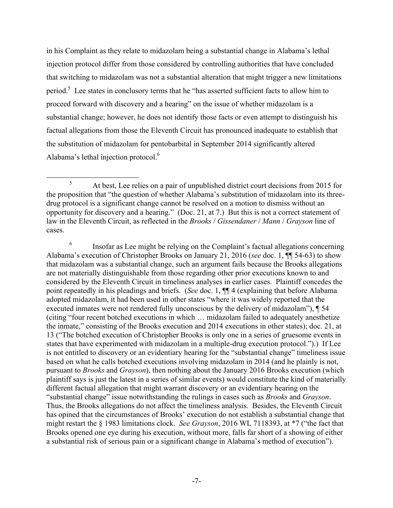in his Complaint as they relate to midazolam being a substantial change in Alabama's lethal injection protocol differ from those considered by controlling authorities that have concluded that switching to midazolam was not a substantial alteration that might trigger a new limitations period.<sup>5</sup> Lee states in conclusory terms that he "has asserted sufficient facts to allow him to proceed forward with discovery and a hearing" on the issue of whether midazolam is a substantial change; however, he does not identify those facts or even attempt to distinguish his factual allegations from those the Eleventh Circuit has pronounced inadequate to establish that the substitution of midazolam for pentobarbital in September 2014 significantly altered Alabama's lethal injection protocol.6

<sup>6</sup> Insofar as Lee might be relying on the Complaint's factual allegations concerning Alabama's execution of Christopher Brooks on January 21, 2016 (*see* doc. 1, ¶¶ 54-63) to show that midazolam was a substantial change, such an argument fails because the Brooks allegations are not materially distinguishable from those regarding other prior executions known to and considered by the Eleventh Circuit in timeliness analyses in earlier cases. Plaintiff concedes the point repeatedly in his pleadings and briefs. (*See* doc. 1, ¶¶ 4 (explaining that before Alabama adopted midazolam, it had been used in other states "where it was widely reported that the executed inmates were not rendered fully unconscious by the delivery of midazolam"), ¶ 54 (citing "four recent botched executions in which … midazolam failed to adequately anesthetize the inmate," consisting of the Brooks execution and 2014 executions in other states); doc. 21, at 13 ("The botched execution of Christopher Brooks is only one in a series of gruesome events in states that have experimented with midazolam in a multiple-drug execution protocol.").) If Lee is not entitled to discovery or an evidentiary hearing for the "substantial change" timeliness issue based on what he calls botched executions involving midazolam in 2014 (and he plainly is not, pursuant to *Brooks* and *Grayson*), then nothing about the January 2016 Brooks execution (which plaintiff says is just the latest in a series of similar events) would constitute the kind of materially different factual allegation that might warrant discovery or an evidentiary hearing on the "substantial change" issue notwithstanding the rulings in cases such as *Brooks* and *Grayson*. Thus, the Brooks allegations do not affect the timeliness analysis. Besides, the Eleventh Circuit has opined that the circumstances of Brooks' execution do not establish a substantial change that might restart the § 1983 limitations clock. *See Grayson*, 2016 WL 7118393, at \*7 ("the fact that Brooks opened one eye during his execution, without more, falls far short of a showing of either a substantial risk of serious pain or a significant change in Alabama's method of execution").

 <sup>5</sup> At best, Lee relies on a pair of unpublished district court decisions from 2015 for the proposition that "the question of whether Alabama's substitution of midazolam into its threedrug protocol is a significant change cannot be resolved on a motion to dismiss without an opportunity for discovery and a hearing." (Doc. 21, at 7.) But this is not a correct statement of law in the Eleventh Circuit, as reflected in the *Brooks* / *Gissendaner* / *Mann* / *Grayson* line of cases.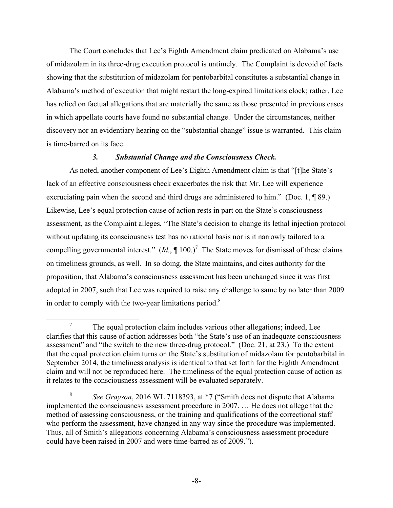The Court concludes that Lee's Eighth Amendment claim predicated on Alabama's use of midazolam in its three-drug execution protocol is untimely. The Complaint is devoid of facts showing that the substitution of midazolam for pentobarbital constitutes a substantial change in Alabama's method of execution that might restart the long-expired limitations clock; rather, Lee has relied on factual allegations that are materially the same as those presented in previous cases in which appellate courts have found no substantial change. Under the circumstances, neither discovery nor an evidentiary hearing on the "substantial change" issue is warranted. This claim is time-barred on its face.

### *3. Substantial Change and the Consciousness Check.*

As noted, another component of Lee's Eighth Amendment claim is that "[t]he State's lack of an effective consciousness check exacerbates the risk that Mr. Lee will experience excruciating pain when the second and third drugs are administered to him." (Doc. 1, ¶ 89.) Likewise, Lee's equal protection cause of action rests in part on the State's consciousness assessment, as the Complaint alleges, "The State's decision to change its lethal injection protocol without updating its consciousness test has no rational basis nor is it narrowly tailored to a compelling governmental interest."  $(Id, \P 100.)^7$  The State moves for dismissal of these claims on timeliness grounds, as well. In so doing, the State maintains, and cites authority for the proposition, that Alabama's consciousness assessment has been unchanged since it was first adopted in 2007, such that Lee was required to raise any challenge to same by no later than 2009 in order to comply with the two-year limitations period. $8$ 

<sup>&</sup>lt;sup>7</sup> The equal protection claim includes various other allegations; indeed, Lee clarifies that this cause of action addresses both "the State's use of an inadequate consciousness assessment" and "the switch to the new three-drug protocol." (Doc. 21, at 23.) To the extent that the equal protection claim turns on the State's substitution of midazolam for pentobarbital in September 2014, the timeliness analysis is identical to that set forth for the Eighth Amendment claim and will not be reproduced here. The timeliness of the equal protection cause of action as it relates to the consciousness assessment will be evaluated separately.

<sup>8</sup> *See Grayson*, 2016 WL 7118393, at \*7 ("Smith does not dispute that Alabama implemented the consciousness assessment procedure in 2007. … He does not allege that the method of assessing consciousness, or the training and qualifications of the correctional staff who perform the assessment, have changed in any way since the procedure was implemented. Thus, all of Smith's allegations concerning Alabama's consciousness assessment procedure could have been raised in 2007 and were time-barred as of 2009.").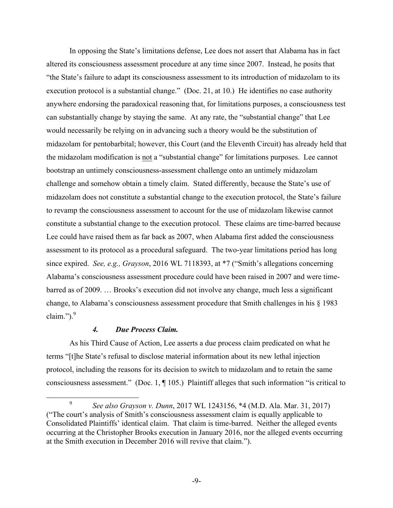In opposing the State's limitations defense, Lee does not assert that Alabama has in fact altered its consciousness assessment procedure at any time since 2007. Instead, he posits that "the State's failure to adapt its consciousness assessment to its introduction of midazolam to its execution protocol is a substantial change." (Doc. 21, at 10.) He identifies no case authority anywhere endorsing the paradoxical reasoning that, for limitations purposes, a consciousness test can substantially change by staying the same. At any rate, the "substantial change" that Lee would necessarily be relying on in advancing such a theory would be the substitution of midazolam for pentobarbital; however, this Court (and the Eleventh Circuit) has already held that the midazolam modification is not a "substantial change" for limitations purposes. Lee cannot bootstrap an untimely consciousness-assessment challenge onto an untimely midazolam challenge and somehow obtain a timely claim. Stated differently, because the State's use of midazolam does not constitute a substantial change to the execution protocol, the State's failure to revamp the consciousness assessment to account for the use of midazolam likewise cannot constitute a substantial change to the execution protocol. These claims are time-barred because Lee could have raised them as far back as 2007, when Alabama first added the consciousness assessment to its protocol as a procedural safeguard. The two-year limitations period has long since expired. *See, e.g., Grayson*, 2016 WL 7118393, at \*7 ("Smith's allegations concerning Alabama's consciousness assessment procedure could have been raised in 2007 and were timebarred as of 2009. … Brooks's execution did not involve any change, much less a significant change, to Alabama's consciousness assessment procedure that Smith challenges in his § 1983 claim."). $9$ 

## *4. Due Process Claim.*

As his Third Cause of Action, Lee asserts a due process claim predicated on what he terms "[t]he State's refusal to disclose material information about its new lethal injection protocol, including the reasons for its decision to switch to midazolam and to retain the same consciousness assessment." (Doc. 1, ¶ 105.) Plaintiff alleges that such information "is critical to

 <sup>9</sup> *See also Grayson v. Dunn*, 2017 WL 1243156, \*4 (M.D. Ala. Mar. 31, 2017) ("The court's analysis of Smith's consciousness assessment claim is equally applicable to Consolidated Plaintiffs' identical claim. That claim is time-barred. Neither the alleged events occurring at the Christopher Brooks execution in January 2016, nor the alleged events occurring at the Smith execution in December 2016 will revive that claim.").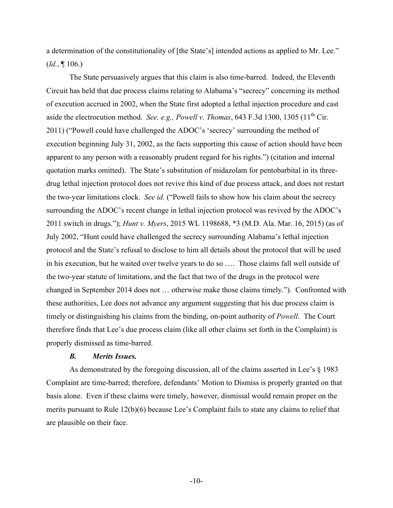a determination of the constitutionality of [the State's] intended actions as applied to Mr. Lee." (*Id.*, ¶ 106.)

The State persuasively argues that this claim is also time-barred. Indeed, the Eleventh Circuit has held that due process claims relating to Alabama's "secrecy" concerning its method of execution accrued in 2002, when the State first adopted a lethal injection procedure and cast aside the electrocution method. *See, e.g., Powell v. Thomas*, 643 F.3d 1300, 1305 (11<sup>th</sup> Cir. 2011) ("Powell could have challenged the ADOC's 'secrecy' surrounding the method of execution beginning July 31, 2002, as the facts supporting this cause of action should have been apparent to any person with a reasonably prudent regard for his rights.") (citation and internal quotation marks omitted). The State's substitution of midazolam for pentobarbital in its threedrug lethal injection protocol does not revive this kind of due process attack, and does not restart the two-year limitations clock. *See id.* ("Powell fails to show how his claim about the secrecy surrounding the ADOC's recent change in lethal injection protocol was revived by the ADOC's 2011 switch in drugs."); *Hunt v. Myers*, 2015 WL 1198688, \*3 (M.D. Ala. Mar. 16, 2015) (as of July 2002, "Hunt could have challenged the secrecy surrounding Alabama's lethal injection protocol and the State's refusal to disclose to him all details about the protocol that will be used in his execution, but he waited over twelve years to do so …. Those claims fall well outside of the two-year statute of limitations, and the fact that two of the drugs in the protocol were changed in September 2014 does not … otherwise make those claims timely."). Confronted with these authorities, Lee does not advance any argument suggesting that his due process claim is timely or distinguishing his claims from the binding, on-point authority of *Powell*. The Court therefore finds that Lee's due process claim (like all other claims set forth in the Complaint) is properly dismissed as time-barred.

### *B. Merits Issues.*

As demonstrated by the foregoing discussion, all of the claims asserted in Lee's § 1983 Complaint are time-barred; therefore, defendants' Motion to Dismiss is properly granted on that basis alone. Even if these claims were timely, however, dismissal would remain proper on the merits pursuant to Rule 12(b)(6) because Lee's Complaint fails to state any claims to relief that are plausible on their face.

-10-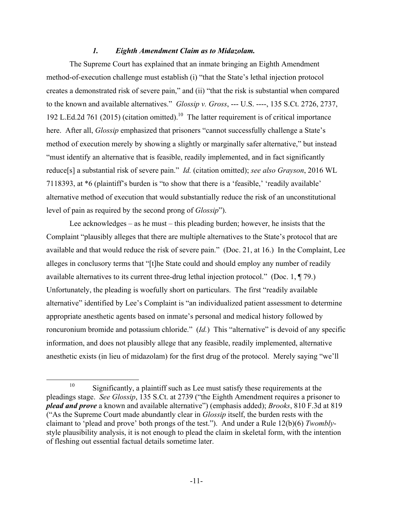### *1. Eighth Amendment Claim as to Midazolam.*

The Supreme Court has explained that an inmate bringing an Eighth Amendment method-of-execution challenge must establish (i) "that the State's lethal injection protocol creates a demonstrated risk of severe pain," and (ii) "that the risk is substantial when compared to the known and available alternatives." *Glossip v. Gross*, --- U.S. ----, 135 S.Ct. 2726, 2737, 192 L.Ed.2d 761 (2015) (citation omitted).<sup>10</sup> The latter requirement is of critical importance here. After all, *Glossip* emphasized that prisoners "cannot successfully challenge a State's method of execution merely by showing a slightly or marginally safer alternative," but instead "must identify an alternative that is feasible, readily implemented, and in fact significantly reduce[s] a substantial risk of severe pain." *Id.* (citation omitted); *see also Grayson*, 2016 WL 7118393, at \*6 (plaintiff's burden is "to show that there is a 'feasible,' 'readily available' alternative method of execution that would substantially reduce the risk of an unconstitutional level of pain as required by the second prong of *Glossip*").

Lee acknowledges – as he must – this pleading burden; however, he insists that the Complaint "plausibly alleges that there are multiple alternatives to the State's protocol that are available and that would reduce the risk of severe pain." (Doc. 21, at 16.) In the Complaint, Lee alleges in conclusory terms that "[t]he State could and should employ any number of readily available alternatives to its current three-drug lethal injection protocol." (Doc. 1, ¶ 79.) Unfortunately, the pleading is woefully short on particulars. The first "readily available alternative" identified by Lee's Complaint is "an individualized patient assessment to determine appropriate anesthetic agents based on inmate's personal and medical history followed by roncuronium bromide and potassium chloride." (*Id.*) This "alternative" is devoid of any specific information, and does not plausibly allege that any feasible, readily implemented, alternative anesthetic exists (in lieu of midazolam) for the first drug of the protocol. Merely saying "we'll

<sup>&</sup>lt;sup>10</sup> Significantly, a plaintiff such as Lee must satisfy these requirements at the pleadings stage. *See Glossip*, 135 S.Ct. at 2739 ("the Eighth Amendment requires a prisoner to *plead and prove* a known and available alternative") (emphasis added); *Brooks*, 810 F.3d at 819 ("As the Supreme Court made abundantly clear in *Glossip* itself, the burden rests with the claimant to 'plead and prove' both prongs of the test."). And under a Rule 12(b)(6) *Twombly*style plausibility analysis, it is not enough to plead the claim in skeletal form, with the intention of fleshing out essential factual details sometime later.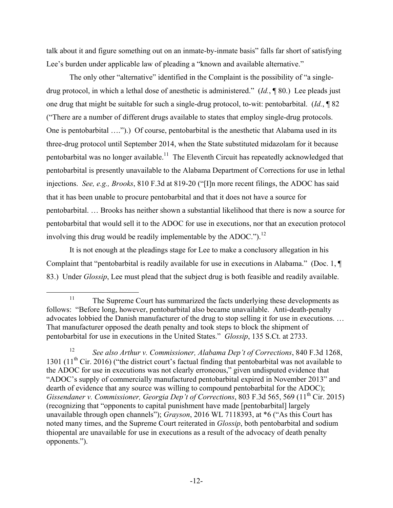talk about it and figure something out on an inmate-by-inmate basis" falls far short of satisfying Lee's burden under applicable law of pleading a "known and available alternative."

The only other "alternative" identified in the Complaint is the possibility of "a singledrug protocol, in which a lethal dose of anesthetic is administered." (*Id.*, ¶ 80.) Lee pleads just one drug that might be suitable for such a single-drug protocol, to-wit: pentobarbital. (*Id.*, ¶ 82 ("There are a number of different drugs available to states that employ single-drug protocols. One is pentobarbital ….").) Of course, pentobarbital is the anesthetic that Alabama used in its three-drug protocol until September 2014, when the State substituted midazolam for it because pentobarbital was no longer available.<sup>11</sup> The Eleventh Circuit has repeatedly acknowledged that pentobarbital is presently unavailable to the Alabama Department of Corrections for use in lethal injections. *See, e.g., Brooks*, 810 F.3d at 819-20 ("[I]n more recent filings, the ADOC has said that it has been unable to procure pentobarbital and that it does not have a source for pentobarbital. … Brooks has neither shown a substantial likelihood that there is now a source for pentobarbital that would sell it to the ADOC for use in executions, nor that an execution protocol involving this drug would be readily implementable by the ADOC." $)$ .<sup>12</sup>

It is not enough at the pleadings stage for Lee to make a conclusory allegation in his Complaint that "pentobarbital is readily available for use in executions in Alabama." (Doc. 1, ¶ 83.) Under *Glossip*, Lee must plead that the subject drug is both feasible and readily available.

 $11$  The Supreme Court has summarized the facts underlying these developments as follows: "Before long, however, pentobarbital also became unavailable. Anti-death-penalty advocates lobbied the Danish manufacturer of the drug to stop selling it for use in executions. … That manufacturer opposed the death penalty and took steps to block the shipment of pentobarbital for use in executions in the United States." *Glossip*, 135 S.Ct. at 2733.

<sup>12</sup> *See also Arthur v. Commissioner, Alabama Dep't of Corrections*, 840 F.3d 1268, 1301 (11<sup>th</sup> Cir. 2016) ("the district court's factual finding that pentobarbital was not available to the ADOC for use in executions was not clearly erroneous," given undisputed evidence that "ADOC's supply of commercially manufactured pentobarbital expired in November 2013" and dearth of evidence that any source was willing to compound pentobarbital for the ADOC); *Gissendaner v. Commissioner, Georgia Dep't of Corrections, 803 F.3d 565, 569 (11<sup>th</sup> Cir. 2015)* (recognizing that "opponents to capital punishment have made [pentobarbital] largely unavailable through open channels"); *Grayson*, 2016 WL 7118393, at \*6 ("As this Court has noted many times, and the Supreme Court reiterated in *Glossip*, both pentobarbital and sodium thiopental are unavailable for use in executions as a result of the advocacy of death penalty opponents.").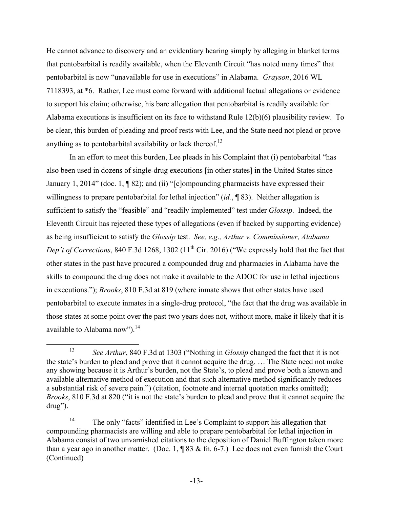He cannot advance to discovery and an evidentiary hearing simply by alleging in blanket terms that pentobarbital is readily available, when the Eleventh Circuit "has noted many times" that pentobarbital is now "unavailable for use in executions" in Alabama. *Grayson*, 2016 WL 7118393, at \*6. Rather, Lee must come forward with additional factual allegations or evidence to support his claim; otherwise, his bare allegation that pentobarbital is readily available for Alabama executions is insufficient on its face to withstand Rule 12(b)(6) plausibility review. To be clear, this burden of pleading and proof rests with Lee, and the State need not plead or prove anything as to pentobarbital availability or lack thereof.<sup>13</sup>

In an effort to meet this burden, Lee pleads in his Complaint that (i) pentobarbital "has also been used in dozens of single-drug executions [in other states] in the United States since January 1, 2014" (doc. 1, ¶ 82); and (ii) "[c]ompounding pharmacists have expressed their willingness to prepare pentobarbital for lethal injection" (*id.*, 183). Neither allegation is sufficient to satisfy the "feasible" and "readily implemented" test under *Glossip*. Indeed, the Eleventh Circuit has rejected these types of allegations (even if backed by supporting evidence) as being insufficient to satisfy the *Glossip* test. *See, e.g., Arthur v. Commissioner, Alabama Dep't of Corrections*, 840 F.3d 1268, 1302 (11<sup>th</sup> Cir. 2016) ("We expressly hold that the fact that other states in the past have procured a compounded drug and pharmacies in Alabama have the skills to compound the drug does not make it available to the ADOC for use in lethal injections in executions."); *Brooks*, 810 F.3d at 819 (where inmate shows that other states have used pentobarbital to execute inmates in a single-drug protocol, "the fact that the drug was available in those states at some point over the past two years does not, without more, make it likely that it is available to Alabama now").<sup>14</sup>

 <sup>13</sup> *See Arthur*, 840 F.3d at 1303 ("Nothing in *Glossip* changed the fact that it is not the state's burden to plead and prove that it cannot acquire the drug. … The State need not make any showing because it is Arthur's burden, not the State's, to plead and prove both a known and available alternative method of execution and that such alternative method significantly reduces a substantial risk of severe pain.") (citation, footnote and internal quotation marks omitted); *Brooks*, 810 F.3d at 820 ("it is not the state's burden to plead and prove that it cannot acquire the drug").

<sup>&</sup>lt;sup>14</sup> The only "facts" identified in Lee's Complaint to support his allegation that compounding pharmacists are willing and able to prepare pentobarbital for lethal injection in Alabama consist of two unvarnished citations to the deposition of Daniel Buffington taken more than a year ago in another matter. (Doc. 1,  $\sqrt{983}$  & fn. 6-7.) Lee does not even furnish the Court (Continued)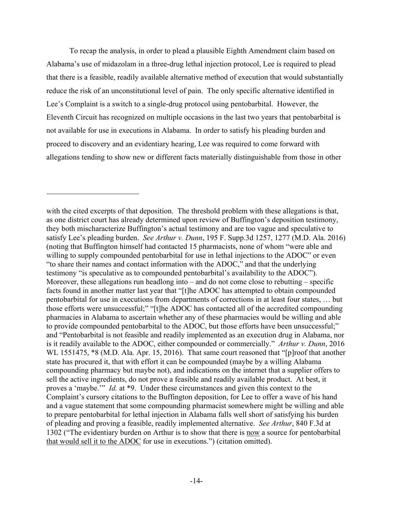To recap the analysis, in order to plead a plausible Eighth Amendment claim based on Alabama's use of midazolam in a three-drug lethal injection protocol, Lee is required to plead that there is a feasible, readily available alternative method of execution that would substantially reduce the risk of an unconstitutional level of pain. The only specific alternative identified in Lee's Complaint is a switch to a single-drug protocol using pentobarbital. However, the Eleventh Circuit has recognized on multiple occasions in the last two years that pentobarbital is not available for use in executions in Alabama. In order to satisfy his pleading burden and proceed to discovery and an evidentiary hearing, Lee was required to come forward with allegations tending to show new or different facts materially distinguishable from those in other

<u>.</u>

with the cited excerpts of that deposition. The threshold problem with these allegations is that, as one district court has already determined upon review of Buffington's deposition testimony, they both mischaracterize Buffington's actual testimony and are too vague and speculative to satisfy Lee's pleading burden. *See Arthur v. Dunn*, 195 F. Supp.3d 1257, 1277 (M.D. Ala. 2016) (noting that Buffington himself had contacted 15 pharmacists, none of whom "were able and willing to supply compounded pentobarbital for use in lethal injections to the ADOC" or even "to share their names and contact information with the ADOC," and that the underlying testimony "is speculative as to compounded pentobarbital's availability to the ADOC"). Moreover, these allegations run headlong into – and do not come close to rebutting – specific facts found in another matter last year that "[t]he ADOC has attempted to obtain compounded pentobarbital for use in executions from departments of corrections in at least four states, … but those efforts were unsuccessful;" "[t]he ADOC has contacted all of the accredited compounding pharmacies in Alabama to ascertain whether any of these pharmacies would be willing and able to provide compounded pentobarbital to the ADOC, but those efforts have been unsuccessful;" and "Pentobarbital is not feasible and readily implemented as an execution drug in Alabama, nor is it readily available to the ADOC, either compounded or commercially." *Arthur v. Dunn*, 2016 WL 1551475,  $*8$  (M.D. Ala. Apr. 15, 2016). That same court reasoned that "[p]roof that another state has procured it, that with effort it can be compounded (maybe by a willing Alabama compounding pharmacy but maybe not), and indications on the internet that a supplier offers to sell the active ingredients, do not prove a feasible and readily available product. At best, it proves a 'maybe.'" *Id.* at \*9. Under these circumstances and given this context to the Complaint's cursory citations to the Buffington deposition, for Lee to offer a wave of his hand and a vague statement that some compounding pharmacist somewhere might be willing and able to prepare pentobarbital for lethal injection in Alabama falls well short of satisfying his burden of pleading and proving a feasible, readily implemented alternative. *See Arthur*, 840 F.3d at 1302 ("The evidentiary burden on Arthur is to show that there is now a source for pentobarbital that would sell it to the ADOC for use in executions.") (citation omitted).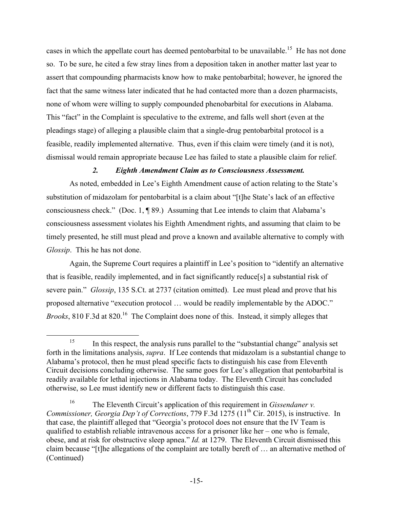cases in which the appellate court has deemed pentobarbital to be unavailable.<sup>15</sup> He has not done so. To be sure, he cited a few stray lines from a deposition taken in another matter last year to assert that compounding pharmacists know how to make pentobarbital; however, he ignored the fact that the same witness later indicated that he had contacted more than a dozen pharmacists, none of whom were willing to supply compounded phenobarbital for executions in Alabama. This "fact" in the Complaint is speculative to the extreme, and falls well short (even at the pleadings stage) of alleging a plausible claim that a single-drug pentobarbital protocol is a feasible, readily implemented alternative. Thus, even if this claim were timely (and it is not), dismissal would remain appropriate because Lee has failed to state a plausible claim for relief.

## *2. Eighth Amendment Claim as to Consciousness Assessment.*

As noted, embedded in Lee's Eighth Amendment cause of action relating to the State's substitution of midazolam for pentobarbital is a claim about "[t]he State's lack of an effective consciousness check." (Doc. 1, ¶ 89.) Assuming that Lee intends to claim that Alabama's consciousness assessment violates his Eighth Amendment rights, and assuming that claim to be timely presented, he still must plead and prove a known and available alternative to comply with *Glossip*. This he has not done.

Again, the Supreme Court requires a plaintiff in Lee's position to "identify an alternative that is feasible, readily implemented, and in fact significantly reduce[s] a substantial risk of severe pain." *Glossip*, 135 S.Ct. at 2737 (citation omitted). Lee must plead and prove that his proposed alternative "execution protocol … would be readily implementable by the ADOC." *Brooks*, 810 F.3d at 820.<sup>16</sup> The Complaint does none of this. Instead, it simply alleges that

 $15$  In this respect, the analysis runs parallel to the "substantial change" analysis set forth in the limitations analysis, *supra*. If Lee contends that midazolam is a substantial change to Alabama's protocol, then he must plead specific facts to distinguish his case from Eleventh Circuit decisions concluding otherwise. The same goes for Lee's allegation that pentobarbital is readily available for lethal injections in Alabama today. The Eleventh Circuit has concluded otherwise, so Lee must identify new or different facts to distinguish this case.

<sup>16</sup> The Eleventh Circuit's application of this requirement in *Gissendaner v. Commissioner, Georgia Dep't of Corrections, 779 F.3d 1275 (11<sup>th</sup> Cir. 2015), is instructive. In* that case, the plaintiff alleged that "Georgia's protocol does not ensure that the IV Team is qualified to establish reliable intravenous access for a prisoner like her – one who is female, obese, and at risk for obstructive sleep apnea." *Id.* at 1279. The Eleventh Circuit dismissed this claim because "[t]he allegations of the complaint are totally bereft of … an alternative method of (Continued)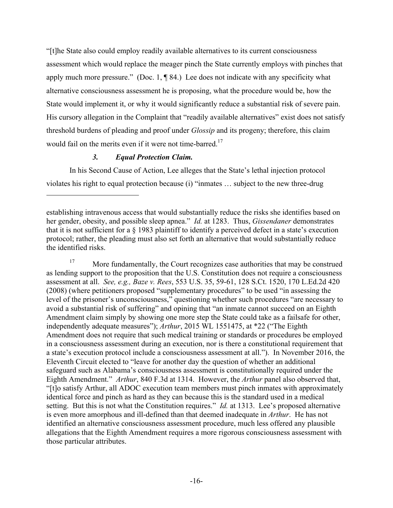"[t]he State also could employ readily available alternatives to its current consciousness assessment which would replace the meager pinch the State currently employs with pinches that apply much more pressure." (Doc. 1,  $\P$  84.) Lee does not indicate with any specificity what alternative consciousness assessment he is proposing, what the procedure would be, how the State would implement it, or why it would significantly reduce a substantial risk of severe pain. His cursory allegation in the Complaint that "readily available alternatives" exist does not satisfy threshold burdens of pleading and proof under *Glossip* and its progeny; therefore, this claim would fail on the merits even if it were not time-barred.<sup>17</sup>

## *3. Equal Protection Claim.*

1

In his Second Cause of Action, Lee alleges that the State's lethal injection protocol violates his right to equal protection because (i) "inmates … subject to the new three-drug

<sup>17</sup> More fundamentally, the Court recognizes case authorities that may be construed as lending support to the proposition that the U.S. Constitution does not require a consciousness assessment at all. *See, e.g., Baze v. Rees*, 553 U.S. 35, 59-61, 128 S.Ct. 1520, 170 L.Ed.2d 420 (2008) (where petitioners proposed "supplementary procedures" to be used "in assessing the level of the prisoner's unconsciousness," questioning whether such procedures "are necessary to avoid a substantial risk of suffering" and opining that "an inmate cannot succeed on an Eighth Amendment claim simply by showing one more step the State could take as a failsafe for other, independently adequate measures"); *Arthur*, 2015 WL 1551475, at \*22 ("The Eighth Amendment does not require that such medical training or standards or procedures be employed in a consciousness assessment during an execution, nor is there a constitutional requirement that a state's execution protocol include a consciousness assessment at all."). In November 2016, the Eleventh Circuit elected to "leave for another day the question of whether an additional safeguard such as Alabama's consciousness assessment is constitutionally required under the Eighth Amendment." *Arthur*, 840 F.3d at 1314. However, the *Arthur* panel also observed that, "[t]o satisfy Arthur, all ADOC execution team members must pinch inmates with approximately identical force and pinch as hard as they can because this is the standard used in a medical setting. But this is not what the Constitution requires." *Id.* at 1313. Lee's proposed alternative is even more amorphous and ill-defined than that deemed inadequate in *Arthur*. He has not identified an alternative consciousness assessment procedure, much less offered any plausible allegations that the Eighth Amendment requires a more rigorous consciousness assessment with those particular attributes.

establishing intravenous access that would substantially reduce the risks she identifies based on her gender, obesity, and possible sleep apnea." *Id.* at 1283. Thus, *Gissendaner* demonstrates that it is not sufficient for a § 1983 plaintiff to identify a perceived defect in a state's execution protocol; rather, the pleading must also set forth an alternative that would substantially reduce the identified risks.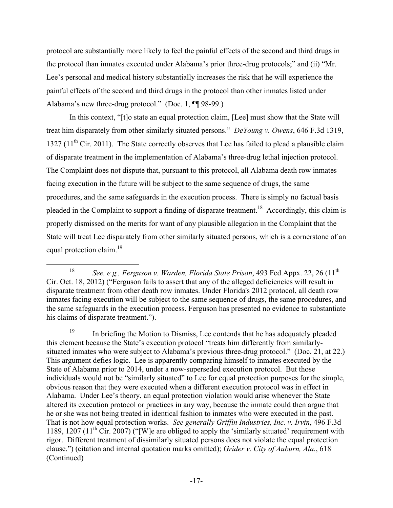protocol are substantially more likely to feel the painful effects of the second and third drugs in the protocol than inmates executed under Alabama's prior three-drug protocols;" and (ii) "Mr. Lee's personal and medical history substantially increases the risk that he will experience the painful effects of the second and third drugs in the protocol than other inmates listed under Alabama's new three-drug protocol." (Doc. 1, ¶¶ 98-99.)

In this context, "[t]o state an equal protection claim, [Lee] must show that the State will treat him disparately from other similarly situated persons." *DeYoung v. Owens*, 646 F.3d 1319, 1327 ( $11<sup>th</sup>$  Cir. 2011). The State correctly observes that Lee has failed to plead a plausible claim of disparate treatment in the implementation of Alabama's three-drug lethal injection protocol. The Complaint does not dispute that, pursuant to this protocol, all Alabama death row inmates facing execution in the future will be subject to the same sequence of drugs, the same procedures, and the same safeguards in the execution process. There is simply no factual basis pleaded in the Complaint to support a finding of disparate treatment.<sup>18</sup> Accordingly, this claim is properly dismissed on the merits for want of any plausible allegation in the Complaint that the State will treat Lee disparately from other similarly situated persons, which is a cornerstone of an equal protection claim.<sup>19</sup>

<sup>&</sup>lt;sup>18</sup> *See, e.g., Ferguson v. Warden, Florida State Prison, 493 Fed.Appx. 22, 26 (11<sup>th</sup>)* Cir. Oct. 18, 2012) ("Ferguson fails to assert that any of the alleged deficiencies will result in disparate treatment from other death row inmates. Under Florida's 2012 protocol, all death row inmates facing execution will be subject to the same sequence of drugs, the same procedures, and the same safeguards in the execution process. Ferguson has presented no evidence to substantiate his claims of disparate treatment.").

<sup>19</sup> In briefing the Motion to Dismiss, Lee contends that he has adequately pleaded this element because the State's execution protocol "treats him differently from similarlysituated inmates who were subject to Alabama's previous three-drug protocol." (Doc. 21, at 22.) This argument defies logic. Lee is apparently comparing himself to inmates executed by the State of Alabama prior to 2014, under a now-superseded execution protocol. But those individuals would not be "similarly situated" to Lee for equal protection purposes for the simple, obvious reason that they were executed when a different execution protocol was in effect in Alabama. Under Lee's theory, an equal protection violation would arise whenever the State altered its execution protocol or practices in any way, because the inmate could then argue that he or she was not being treated in identical fashion to inmates who were executed in the past. That is not how equal protection works. *See generally Griffin Industries, Inc. v. Irvin*, 496 F.3d 1189, 1207 (11<sup>th</sup> Cir. 2007) ("[W]e are obliged to apply the 'similarly situated' requirement with rigor. Different treatment of dissimilarly situated persons does not violate the equal protection clause.") (citation and internal quotation marks omitted); *Grider v. City of Auburn, Ala.*, 618 (Continued)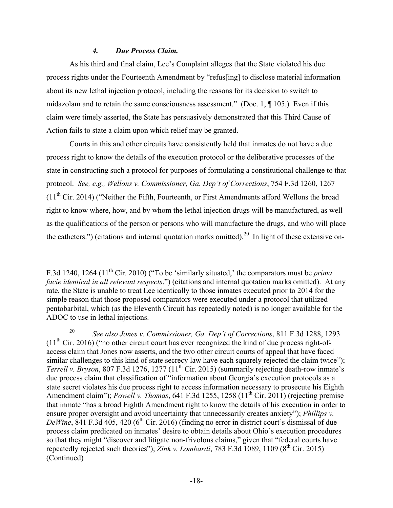### *4. Due Process Claim.*

<u>.</u>

As his third and final claim, Lee's Complaint alleges that the State violated his due process rights under the Fourteenth Amendment by "refus[ing] to disclose material information about its new lethal injection protocol, including the reasons for its decision to switch to midazolam and to retain the same consciousness assessment." (Doc. 1, ¶ 105.) Even if this claim were timely asserted, the State has persuasively demonstrated that this Third Cause of Action fails to state a claim upon which relief may be granted.

Courts in this and other circuits have consistently held that inmates do not have a due process right to know the details of the execution protocol or the deliberative processes of the state in constructing such a protocol for purposes of formulating a constitutional challenge to that protocol. *See, e.g., Wellons v. Commissioner, Ga. Dep't of Corrections*, 754 F.3d 1260, 1267 (11th Cir. 2014) ("Neither the Fifth, Fourteenth, or First Amendments afford Wellons the broad right to know where, how, and by whom the lethal injection drugs will be manufactured, as well as the qualifications of the person or persons who will manufacture the drugs, and who will place the catheters.") (citations and internal quotation marks omitted).<sup>20</sup> In light of these extensive on-

F.3d 1240, 1264 (11th Cir. 2010) ("To be 'similarly situated,' the comparators must be *prima facie identical in all relevant respects*.") (citations and internal quotation marks omitted). At any rate, the State is unable to treat Lee identically to those inmates executed prior to 2014 for the simple reason that those proposed comparators were executed under a protocol that utilized pentobarbital, which (as the Eleventh Circuit has repeatedly noted) is no longer available for the ADOC to use in lethal injections.

<sup>20</sup> *See also Jones v. Commissioner, Ga. Dep't of Corrections*, 811 F.3d 1288, 1293  $(11<sup>th</sup> Cir. 2016)$  ("no other circuit court has ever recognized the kind of due process right-ofaccess claim that Jones now asserts, and the two other circuit courts of appeal that have faced similar challenges to this kind of state secrecy law have each squarely rejected the claim twice"); *Terrell v. Bryson*, 807 F.3d 1276, 1277 (11<sup>th</sup> Cir. 2015) (summarily rejecting death-row inmate's due process claim that classification of "information about Georgia's execution protocols as a state secret violates his due process right to access information necessary to prosecute his Eighth Amendment claim"); *Powell v. Thomas*, 641 F.3d 1255, 1258 (11<sup>th</sup> Cir. 2011) (rejecting premise that inmate "has a broad Eighth Amendment right to know the details of his execution in order to ensure proper oversight and avoid uncertainty that unnecessarily creates anxiety"); *Phillips v.*   $DeWine$ ,  $841$  F.3d  $405$ ,  $420$  ( $6<sup>th</sup>$  Cir. 2016) (finding no error in district court's dismissal of due process claim predicated on inmates' desire to obtain details about Ohio's execution procedures so that they might "discover and litigate non-frivolous claims," given that "federal courts have repeatedly rejected such theories"); *Zink v. Lombardi*, 783 F.3d 1089, 1109 ( $8<sup>th</sup>$  Cir. 2015) (Continued)